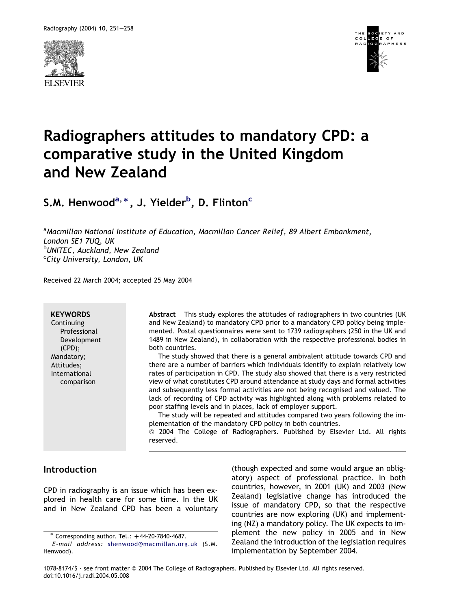



# Radiographers attitudes to mandatory CPD: a comparative study in the United Kingdom and New Zealand

S.M. Henwood<sup>a, \*</sup> , J. Yielder<sup>b</sup>, D. Flinton<sup>c</sup>

<sup>a</sup>Macmillan National Institute of Education, Macmillan Cancer Relief, 89 Albert Embankment, London SE1 7UQ, UK <sup>b</sup>UNITEC, Auckland, New Zealand <sup>c</sup>City University, London, UK

Received 22 March 2004; accepted 25 May 2004

#### **KEYWORDS**

Continuing Professional Development (CPD); Mandatory; Attitudes; International comparison

Abstract This study explores the attitudes of radiographers in two countries (UK and New Zealand) to mandatory CPD prior to a mandatory CPD policy being implemented. Postal questionnaires were sent to 1739 radiographers (250 in the UK and 1489 in New Zealand), in collaboration with the respective professional bodies in both countries.

The study showed that there is a general ambivalent attitude towards CPD and there are a number of barriers which individuals identify to explain relatively low rates of participation in CPD. The study also showed that there is a very restricted view of what constitutes CPD around attendance at study days and formal activities and subsequently less formal activities are not being recognised and valued. The lack of recording of CPD activity was highlighted along with problems related to poor staffing levels and in places, lack of employer support.

The study will be repeated and attitudes compared two years following the implementation of the mandatory CPD policy in both countries.

 $@$  2004 The College of Radiographers. Published by Elsevier Ltd. All rights reserved.

# Introduction

CPD in radiography is an issue which has been explored in health care for some time. In the UK and in New Zealand CPD has been a voluntary (though expected and some would argue an obligatory) aspect of professional practice. In both countries, however, in 2001 (UK) and 2003 (New Zealand) legislative change has introduced the issue of mandatory CPD, so that the respective countries are now exploring (UK) and implementing (NZ) a mandatory policy. The UK expects to implement the new policy in 2005 and in New Zealand the introduction of the legislation requires implementation by September 2004.

 $*$  Corresponding author. Tel.:  $+44-20-7840-4687$ .

E-mail address: [shenwood@macmillan.org.uk](mailto:shenwood@macmillan.org.uk) (S.M. Henwood).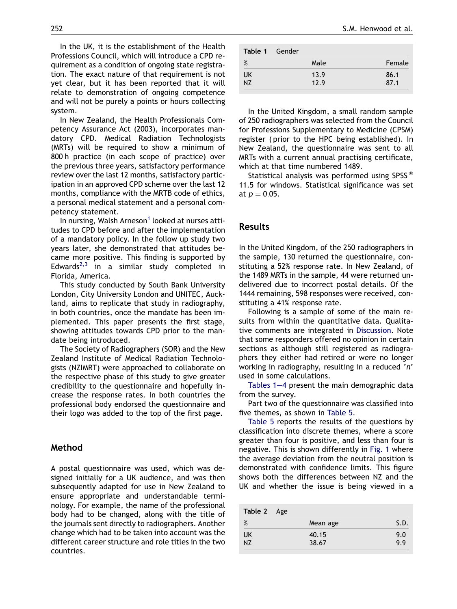In the UK, it is the establishment of the Health Professions Council, which will introduce a CPD requirement as a condition of ongoing state registration. The exact nature of that requirement is not yet clear, but it has been reported that it will relate to demonstration of ongoing competence and will not be purely a points or hours collecting system.

In New Zealand, the Health Professionals Competency Assurance Act (2003), incorporates mandatory CPD. Medical Radiation Technologists (MRTs) will be required to show a minimum of 800 h practice (in each scope of practice) over the previous three years, satisfactory performance review over the last 12 months, satisfactory participation in an approved CPD scheme over the last 12 months, compliance with the MRTB code of ethics, a personal medical statement and a personal competency statement.

In nursing, Walsh Arneson<sup>[1](#page-7-0)</sup> looked at nurses attitudes to CPD before and after the implementation of a mandatory policy. In the follow up study two years later, she demonstrated that attitudes became more positive. This finding is supported by Edwards<sup>[2,3](#page-7-0)</sup> in a similar study completed in Florida, America.

This study conducted by South Bank University London, City University London and UNITEC, Auckland, aims to replicate that study in radiography, in both countries, once the mandate has been implemented. This paper presents the first stage, showing attitudes towards CPD prior to the mandate being introduced.

The Society of Radiographers (SOR) and the New Zealand Institute of Medical Radiation Technologists (NZIMRT) were approached to collaborate on the respective phase of this study to give greater credibility to the questionnaire and hopefully increase the response rates. In both countries the professional body endorsed the questionnaire and their logo was added to the top of the first page.

## Method

A postal questionnaire was used, which was designed initially for a UK audience, and was then subsequently adapted for use in New Zealand to ensure appropriate and understandable terminology. For example, the name of the professional body had to be changed, along with the title of the journals sent directly to radiographers. Another change which had to be taken into account was the different career structure and role titles in the two countries.

| Table 1 | Gender |      |        |
|---------|--------|------|--------|
| %       |        | Male | Female |
| UK      |        | 13.9 | 86.1   |
| ΝZ      |        | 12.9 | 87.1   |

In the United Kingdom, a small random sample of 250 radiographers was selected from the Council for Professions Supplementary to Medicine (CPSM) register ( prior to the HPC being established). In New Zealand, the questionnaire was sent to all MRTs with a current annual practising certificate, which at that time numbered 1489.

Statistical analysis was performed using SPSS<sup>®</sup> 11.5 for windows. Statistical significance was set at  $p = 0.05$ .

## Results

In the United Kingdom, of the 250 radiographers in the sample, 130 returned the questionnaire, constituting a 52% response rate. In New Zealand, of the 1489 MRTs in the sample, 44 were returned undelivered due to incorrect postal details. Of the 1444 remaining, 598 responses were received, constituting a 41% response rate.

Following is a sample of some of the main results from within the quantitative data. Qualitative comments are integrated in [Discussion.](#page-2-0) Note that some responders offered no opinion in certain sections as although still registered as radiographers they either had retired or were no longer working in radiography, resulting in a reduced 'n' used in some calculations.

Tables  $1-4$  present the main demographic data from the survey.

Part two of the questionnaire was classified into five themes, as shown in [Table 5.](#page-2-0)

[Table 5](#page-2-0) reports the results of the questions by classification into discrete themes, where a score greater than four is positive, and less than four is negative. This is shown differently in [Fig. 1](#page-2-0) where the average deviation from the neutral position is demonstrated with confidence limits. This figure shows both the differences between NZ and the UK and whether the issue is being viewed in a

| Table 2 | Age      |      |
|---------|----------|------|
| %       | Mean age | S.D. |
| UK      | 40.15    | 9.0  |
| NZ      | 38.67    | 9.9  |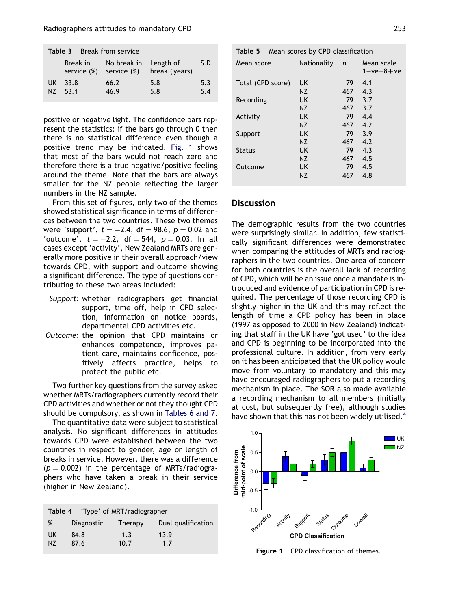<span id="page-2-0"></span>

|           | <b>Table 3</b> Break from service |                       |                           |            |
|-----------|-----------------------------------|-----------------------|---------------------------|------------|
|           | Break in<br>service $(\%)$        | No break in Length of | service (%) break (years) | S.D.       |
| UK.<br>N7 | 33.8<br>53.1                      | 66.2<br>46.9          | 5.8<br>5.8                | 5.3<br>5.4 |

positive or negative light. The confidence bars represent the statistics: if the bars go through 0 then there is no statistical difference even though a positive trend may be indicated. Fig. 1 shows that most of the bars would not reach zero and therefore there is a true negative/positive feeling around the theme. Note that the bars are always smaller for the NZ people reflecting the larger numbers in the NZ sample.

From this set of figures, only two of the themes showed statistical significance in terms of differences between the two countries. These two themes were 'support',  $t = -2.4$ , df = 98.6,  $p = 0.02$  and 'outcome',  $t = -2.2$ , df = 544,  $p = 0.03$ . In all cases except 'activity', New Zealand MRTs are generally more positive in their overall approach/view towards CPD, with support and outcome showing a significant difference. The type of questions contributing to these two areas included:

- Support: whether radiographers get financial support, time off, help in CPD selection, information on notice boards, departmental CPD activities etc.
- Outcome: the opinion that CPD maintains or enhances competence, improves patient care, maintains confidence, positively affects practice, helps to protect the public etc.

Two further key questions from the survey asked whether MRTs/radiographers currently record their CPD activities and whether or not they thought CPD should be compulsory, as shown in [Tables 6 and 7](#page-3-0).

The quantitative data were subject to statistical analysis. No significant differences in attitudes towards CPD were established between the two countries in respect to gender, age or length of breaks in service. However, there was a difference  $(p = 0.002)$  in the percentage of MRTs/radiographers who have taken a break in their service (higher in New Zealand).

| 'Type' of MRT/radiographer<br>Table 4 |            |         |                    |
|---------------------------------------|------------|---------|--------------------|
| %                                     | Diagnostic | Therapy | Dual qualification |
| UK                                    | 84.8       | 1.3     | 13.9               |
| N7                                    | 87.6       | 10.7    | 1.7                |

| Mean scores by CPD classification<br>Table 5 |                |     |                                 |
|----------------------------------------------|----------------|-----|---------------------------------|
| Mean score                                   | Nationality    | n   | Mean scale<br>$1 - ve - 8 + ve$ |
| Total (CPD score)                            | UK             | 79  | 4.1                             |
|                                              | NZ             | 467 | 4.3                             |
| Recording                                    | UK             | 79  | 3.7                             |
|                                              | ΝZ             | 467 | 3.7                             |
| Activity                                     | UK             | 79  | 4.4                             |
|                                              | N <sub>7</sub> | 467 | 4.2                             |
| Support                                      | UK             | 79  | 3.9                             |
|                                              | ΝZ             | 467 | 4.2                             |
| Status                                       | UK             | 79  | 4.3                             |
|                                              | NZ.            | 467 | 4.5                             |
| Outcome                                      | UK             | 79  | 4.5                             |
|                                              | NZ             | 467 | 4.8                             |

## **Discussion**

The demographic results from the two countries were surprisingly similar. In addition, few statistically significant differences were demonstrated when comparing the attitudes of MRTs and radiographers in the two countries. One area of concern for both countries is the overall lack of recording of CPD, which will be an issue once a mandate is introduced and evidence of participation in CPD is required. The percentage of those recording CPD is slightly higher in the UK and this may reflect the length of time a CPD policy has been in place (1997 as opposed to 2000 in New Zealand) indicating that staff in the UK have 'got used' to the idea and CPD is beginning to be incorporated into the professional culture. In addition, from very early on it has been anticipated that the UK policy would move from voluntary to mandatory and this may have encouraged radiographers to put a recording mechanism in place. The SOR also made available a recording mechanism to all members (initially at cost, but subsequently free), although studies have shown that this has not been widely utilised.<sup>[4](#page-7-0)</sup>



Figure 1 CPD classification of themes.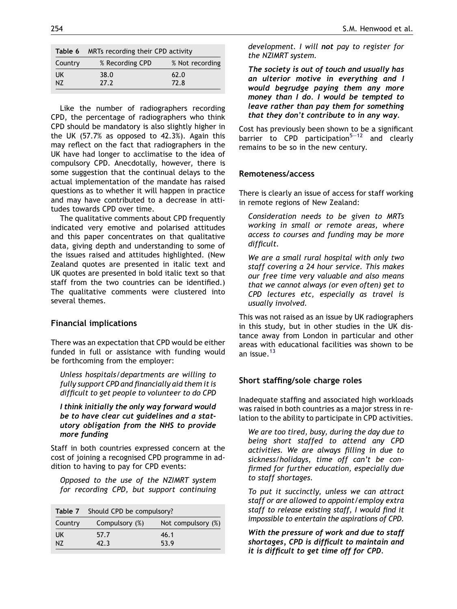<span id="page-3-0"></span>

|         | <b>Table 6</b> MRTs recording their CPD activity |                 |  |
|---------|--------------------------------------------------|-----------------|--|
| Country | % Recording CPD                                  | % Not recording |  |
| UK      | 38.0                                             | 62.0            |  |
| N7      | 27.2                                             | 72.8            |  |

Like the number of radiographers recording CPD, the percentage of radiographers who think CPD should be mandatory is also slightly higher in the UK (57.7% as opposed to 42.3%). Again this may reflect on the fact that radiographers in the UK have had longer to acclimatise to the idea of compulsory CPD. Anecdotally, however, there is some suggestion that the continual delays to the actual implementation of the mandate has raised questions as to whether it will happen in practice and may have contributed to a decrease in attitudes towards CPD over time.

The qualitative comments about CPD frequently indicated very emotive and polarised attitudes and this paper concentrates on that qualitative data, giving depth and understanding to some of the issues raised and attitudes highlighted. (New Zealand quotes are presented in italic text and UK quotes are presented in bold italic text so that staff from the two countries can be identified.) The qualitative comments were clustered into several themes.

## Financial implications

There was an expectation that CPD would be either funded in full or assistance with funding would be forthcoming from the employer:

Unless hospitals/departments are willing to fully support CPD and financially aid them it is difficult to get people to volunteer to do CPD

I think initially the only way forward would be to have clear cut guidelines and a statutory obligation from the NHS to provide more funding

Staff in both countries expressed concern at the cost of joining a recognised CPD programme in addition to having to pay for CPD events:

Opposed to the use of the NZIMRT system for recording CPD, but support continuing

| Table 7 | Should CPD be compulsory? |                    |  |
|---------|---------------------------|--------------------|--|
| Country | Compulsory (%)            | Not compulsory (%) |  |
| UK      | 57.7                      | 46.1               |  |
| N7      | 42.3                      | 53.9               |  |

development. I will not pay to register for the NZIMRT system.

The society is out of touch and usually has an ulterior motive in everything and I would begrudge paying them any more money than I do. I would be tempted to leave rather than pay them for something that they don't contribute to in any way.

Cost has previously been shown to be a significant barrier to CPD participation<sup>5-[12](#page-7-0)</sup> and clearly remains to be so in the new century.

## Remoteness/access

There is clearly an issue of access for staff working in remote regions of New Zealand:

Consideration needs to be given to MRTs working in small or remote areas, where access to courses and funding may be more difficult.

We are a small rural hospital with only two staff covering a 24 hour service. This makes our free time very valuable and also means that we cannot always (or even often) get to CPD lectures etc, especially as travel is usually involved.

This was not raised as an issue by UK radiographers in this study, but in other studies in the UK distance away from London in particular and other areas with educational facilities was shown to be an issue.<sup>[13](#page-7-0)</sup>

# Short staffing/sole charge roles

Inadequate staffing and associated high workloads was raised in both countries as a major stress in relation to the ability to participate in CPD activities.

We are too tired, busy, during the day due to being short staffed to attend any CPD activities. We are always filling in due to sickness/holidays, time off can't be confirmed for further education, especially due to staff shortages.

To put it succinctly, unless we can attract staff or are allowed to appoint/employ extra staff to release existing staff, I would find it impossible to entertain the aspirations of CPD.

With the pressure of work and due to staff shortages, CPD is difficult to maintain and it is difficult to get time off for CPD.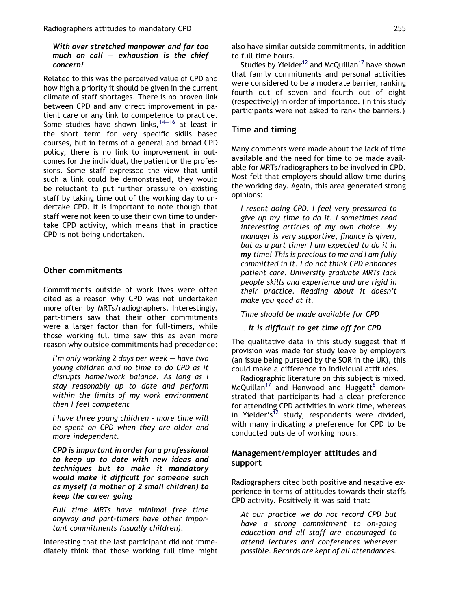## With over stretched manpower and far too much on call  $-$  exhaustion is the chief concern!

Related to this was the perceived value of CPD and how high a priority it should be given in the current climate of staff shortages. There is no proven link between CPD and any direct improvement in patient care or any link to competence to practice. Some studies have shown links,  $14-16$  $14-16$  at least in the short term for very specific skills based courses, but in terms of a general and broad CPD policy, there is no link to improvement in outcomes for the individual, the patient or the professions. Some staff expressed the view that until such a link could be demonstrated, they would be reluctant to put further pressure on existing staff by taking time out of the working day to undertake CPD. It is important to note though that staff were not keen to use their own time to undertake CPD activity, which means that in practice CPD is not being undertaken.

# Other commitments

Commitments outside of work lives were often cited as a reason why CPD was not undertaken more often by MRTs/radiographers. Interestingly, part-timers saw that their other commitments were a larger factor than for full-timers, while those working full time saw this as even more reason why outside commitments had precedence:

I'm only working 2 days per week  $-$  have two young children and no time to do CPD as it disrupts home/work balance. As long as I stay reasonably up to date and perform within the limits of my work environment then I feel competent

I have three young children - more time will be spent on CPD when they are older and more independent.

CPD is important in order for a professional to keep up to date with new ideas and techniques but to make it mandatory would make it difficult for someone such as myself (a mother of 2 small children) to keep the career going

Full time MRTs have minimal free time anyway and part-timers have other important commitments (usually children).

Interesting that the last participant did not immediately think that those working full time might also have similar outside commitments, in addition to full time hours.

Studies by Yielder<sup>[12](#page-7-0)</sup> and McQuillan<sup>[17](#page-7-0)</sup> have shown that family commitments and personal activities were considered to be a moderate barrier, ranking fourth out of seven and fourth out of eight (respectively) in order of importance. (In this study participants were not asked to rank the barriers.)

# Time and timing

Many comments were made about the lack of time available and the need for time to be made available for MRTs/radiographers to be involved in CPD. Most felt that employers should allow time during the working day. Again, this area generated strong opinions:

I resent doing CPD. I feel very pressured to give up my time to do it. I sometimes read interesting articles of my own choice. My manager is very supportive, finance is given, but as a part timer I am expected to do it in my time! This is precious to me and I am fully committed in it. I do not think CPD enhances patient care. University graduate MRTs lack people skills and experience and are rigid in their practice. Reading about it doesn't make you good at it.

Time should be made available for CPD

## $\ldots$ it is difficult to get time off for CPD

The qualitative data in this study suggest that if provision was made for study leave by employers (an issue being pursued by the SOR in the UK), this could make a difference to individual attitudes.

Radiographic literature on this subject is mixed.  $McQuillan<sup>17</sup>$  $McQuillan<sup>17</sup>$  $McQuillan<sup>17</sup>$  and Henwood and Huggett<sup>[6](#page-7-0)</sup> demonstrated that participants had a clear preference for attending CPD activities in work time, whereas in Yielder's<sup>[12](#page-7-0)</sup> study, respondents were divided, with many indicating a preference for CPD to be conducted outside of working hours.

# Management/employer attitudes and support

Radiographers cited both positive and negative experience in terms of attitudes towards their staffs CPD activity. Positively it was said that:

At our practice we do not record CPD but have a strong commitment to on-going education and all staff are encouraged to attend lectures and conferences wherever possible. Records are kept of all attendances.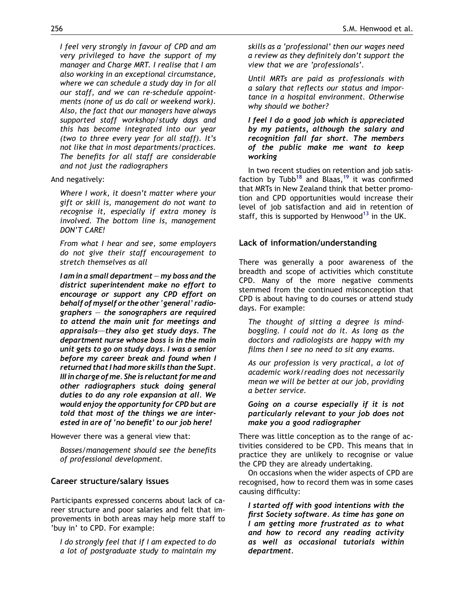I feel very strongly in favour of CPD and am very privileged to have the support of my manager and Charge MRT. I realise that I am also working in an exceptional circumstance, where we can schedule a study day in for all our staff, and we can re-schedule appointments (none of us do call or weekend work). Also, the fact that our managers have always supported staff workshop/study days and this has become integrated into our year (two to three every year for all staff). It's not like that in most departments/practices. The benefits for all staff are considerable and not just the radiographers

And negatively:

Where I work, it doesn't matter where your gift or skill is, management do not want to recognise it, especially if extra money is involved. The bottom line is, management DON'T CARE!

From what I hear and see, some employers do not give their staff encouragement to stretch themselves as all

I am in a small department  $-$  my boss and the district superintendent make no effort to encourage or support any CPD effort on behalf ofmyself or the other 'general' radiographers  $-$  the sonographers are required to attend the main unit for meetings and appraisals-they also get study days. The department nurse whose boss is in the main unit gets to go on study days. I was a senior before my career break and found when I returned that I had more skills than the Supt. III in charge ofme. She isreluctant for me and other radiographers stuck doing general duties to do any role expansion at all. We would enjoy the opportunity for CPD but are told that most of the things we are interested in are of 'no benefit' to our job here!

However there was a general view that:

Bosses/management should see the benefits of professional development.

#### Career structure/salary issues

Participants expressed concerns about lack of career structure and poor salaries and felt that improvements in both areas may help more staff to 'buy in' to CPD. For example:

I do strongly feel that if I am expected to do a lot of postgraduate study to maintain my skills as a 'professional' then our wages need a review as they definitely don't support the view that we are 'professionals'.

Until MRTs are paid as professionals with a salary that reflects our status and importance in a hospital environment. Otherwise why should we bother?

I feel I do a good job which is appreciated by my patients, although the salary and recognition fall far short. The members of the public make me want to keep working

In two recent studies on retention and job satis-faction by Tubb<sup>[18](#page-7-0)</sup> and Blaas,<sup>[19](#page-7-0)</sup> it was confirmed that MRTs in New Zealand think that better promotion and CPD opportunities would increase their level of job satisfaction and aid in retention of staff, this is supported by Henwood<sup>[13](#page-7-0)</sup> in the UK.

#### Lack of information/understanding

There was generally a poor awareness of the breadth and scope of activities which constitute CPD. Many of the more negative comments stemmed from the continued misconception that CPD is about having to do courses or attend study days. For example:

The thought of sitting a degree is mindboggling. I could not do it. As long as the doctors and radiologists are happy with my films then I see no need to sit any exams.

As our profession is very practical, a lot of academic work/reading does not necessarily mean we will be better at our job, providing a better service.

### Going on a course especially if it is not particularly relevant to your job does not make you a good radiographer

There was little conception as to the range of activities considered to be CPD. This means that in practice they are unlikely to recognise or value the CPD they are already undertaking.

On occasions when the wider aspects of CPD are recognised, how to record them was in some cases causing difficulty:

I started off with good intentions with the first Society software. As time has gone on I am getting more frustrated as to what and how to record any reading activity as well as occasional tutorials within department.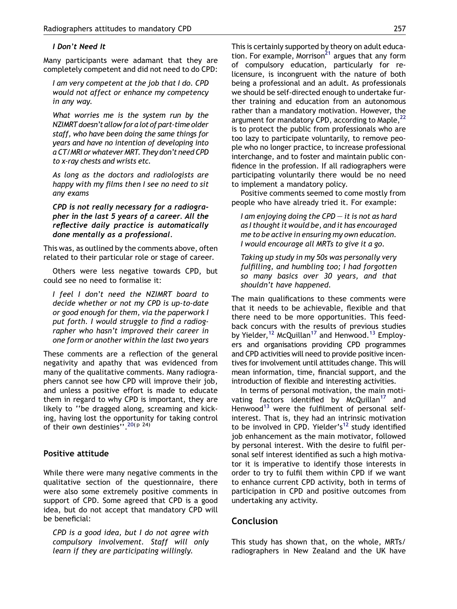#### I Don't Need It

Many participants were adamant that they are completely competent and did not need to do CPD:

I am very competent at the job that I do. CPD would not affect or enhance my competency in any way.

What worries me is the system run by the NZIMRT doesn't allow for a lot of part-time older staff, who have been doing the same things for years and have no intention of developing into a CT/MRI or whatever MRT. They don't need CPD to x-ray chests and wrists etc.

As long as the doctors and radiologists are happy with my films then I see no need to sit any exams

CPD is not really necessary for a radiographer in the last 5 years of a career. All the reflective daily practice is automatically done mentally as a professional.

This was, as outlined by the comments above, often related to their particular role or stage of career.

Others were less negative towards CPD, but could see no need to formalise it:

I feel I don't need the NZIMRT board to decide whether or not my CPD is up-to-date or good enough for them, via the paperwork I put forth. I would struggle to find a radiographer who hasn't improved their career in one form or another within the last two years

These comments are a reflection of the general negativity and apathy that was evidenced from many of the qualitative comments. Many radiographers cannot see how CPD will improve their job, and unless a positive effort is made to educate them in regard to why CPD is important, they are likely to ''be dragged along, screaming and kicking, having lost the opportunity for taking control of their own destinies".<sup>[20\(](#page-7-0)p 24)</sup>

## Positive attitude

While there were many negative comments in the qualitative section of the questionnaire, there were also some extremely positive comments in support of CPD. Some agreed that CPD is a good idea, but do not accept that mandatory CPD will be beneficial:

CPD is a good idea, but I do not agree with compulsory involvement. Staff will only learn if they are participating willingly.

This is certainly supported by theory on adult education. For example, Morrison $^{21}$  argues that any form of compulsory education, particularly for relicensure, is incongruent with the nature of both being a professional and an adult. As professionals we should be self-directed enough to undertake further training and education from an autonomous rather than a mandatory motivation. However, the argument for mandatory CPD, according to Maple.<sup>22</sup> is to protect the public from professionals who are too lazy to participate voluntarily, to remove people who no longer practice, to increase professional interchange, and to foster and maintain public confidence in the profession. If all radiographers were participating voluntarily there would be no need to implement a mandatory policy.

Positive comments seemed to come mostly from people who have already tried it. For example:

I am enjoying doing the CPD  $-$  it is not as hard as I thought it would be, and it has encouraged me to be active in ensuring my own education. I would encourage all MRTs to give it a go.

Taking up study in my 50s was personally very fulfilling, and humbling too; I had forgotten so many basics over 30 years, and that shouldn't have happened.

The main qualifications to these comments were that it needs to be achievable, flexible and that there need to be more opportunities. This feedback concurs with the results of previous studies by Yielder,  $12$  McQuillan<sup>[17](#page-7-0)</sup> and Henwood.<sup>[13](#page-7-0)</sup> Employers and organisations providing CPD programmes and CPD activities will need to provide positive incentives for involvement until attitudes change. This will mean information, time, financial support, and the introduction of flexible and interesting activities.

In terms of personal motivation, the main moti-vating factors identified by McQuillan<sup>[17](#page-7-0)</sup> and Henwood<sup>[13](#page-7-0)</sup> were the fulfilment of personal selfinterest. That is, they had an intrinsic motivation to be involved in CPD. Yielder's<sup>[12](#page-7-0)</sup> study identified job enhancement as the main motivator, followed by personal interest. With the desire to fulfil personal self interest identified as such a high motivator it is imperative to identify those interests in order to try to fulfil them within CPD if we want to enhance current CPD activity, both in terms of participation in CPD and positive outcomes from undertaking any activity.

#### Conclusion

This study has shown that, on the whole, MRTs/ radiographers in New Zealand and the UK have